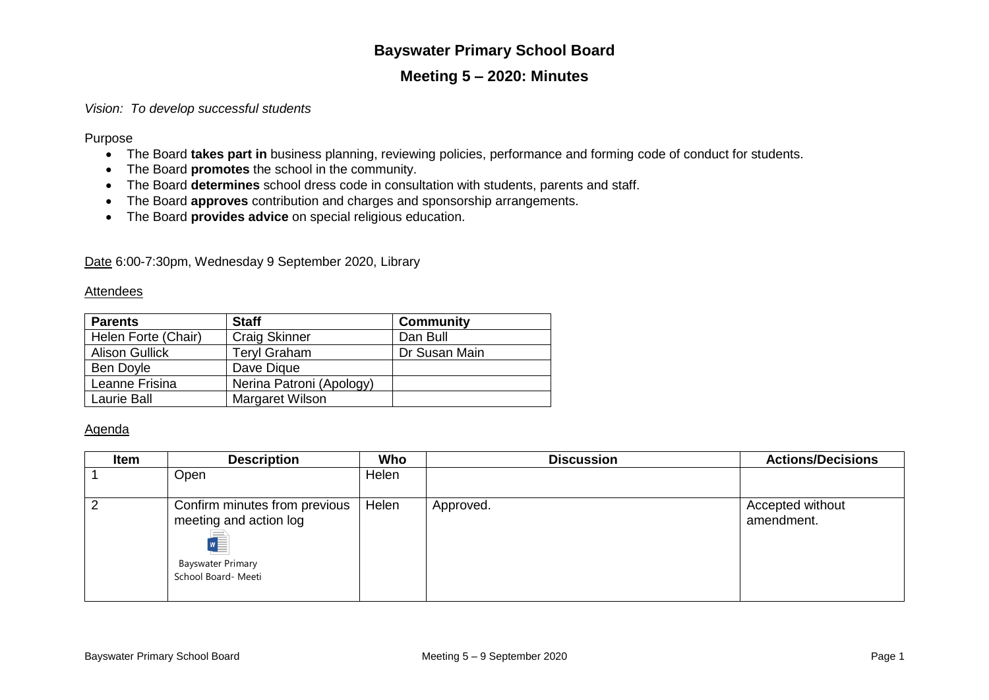## **Bayswater Primary School Board**

# **Meeting 5 – 2020: Minutes**

## *Vision: To develop successful students*

Purpose

- The Board **takes part in** business planning, reviewing policies, performance and forming code of conduct for students.
- The Board **promotes** the school in the community.
- The Board **determines** school dress code in consultation with students, parents and staff.
- The Board **approves** contribution and charges and sponsorship arrangements.
- The Board **provides advice** on special religious education.

Date 6:00-7:30pm, Wednesday 9 September 2020, Library

### **Attendees**

| <b>Parents</b>        | <b>Staff</b>             | <b>Community</b> |
|-----------------------|--------------------------|------------------|
| Helen Forte (Chair)   | <b>Craig Skinner</b>     | Dan Bull         |
| <b>Alison Gullick</b> | <b>Teryl Graham</b>      | Dr Susan Main    |
| Ben Doyle             | Dave Dique               |                  |
| Leanne Frisina        | Nerina Patroni (Apology) |                  |
| Laurie Ball           | Margaret Wilson          |                  |

### Agenda

| <b>Item</b> | <b>Description</b>                                                                                                                 | Who   | <b>Discussion</b> | <b>Actions/Decisions</b>       |
|-------------|------------------------------------------------------------------------------------------------------------------------------------|-------|-------------------|--------------------------------|
|             | Open                                                                                                                               | Helen |                   |                                |
|             | Confirm minutes from previous<br>meeting and action log<br>$\sqrt{\frac{1}{2}}$<br><b>Bayswater Primary</b><br>School Board- Meeti | Helen | Approved.         | Accepted without<br>amendment. |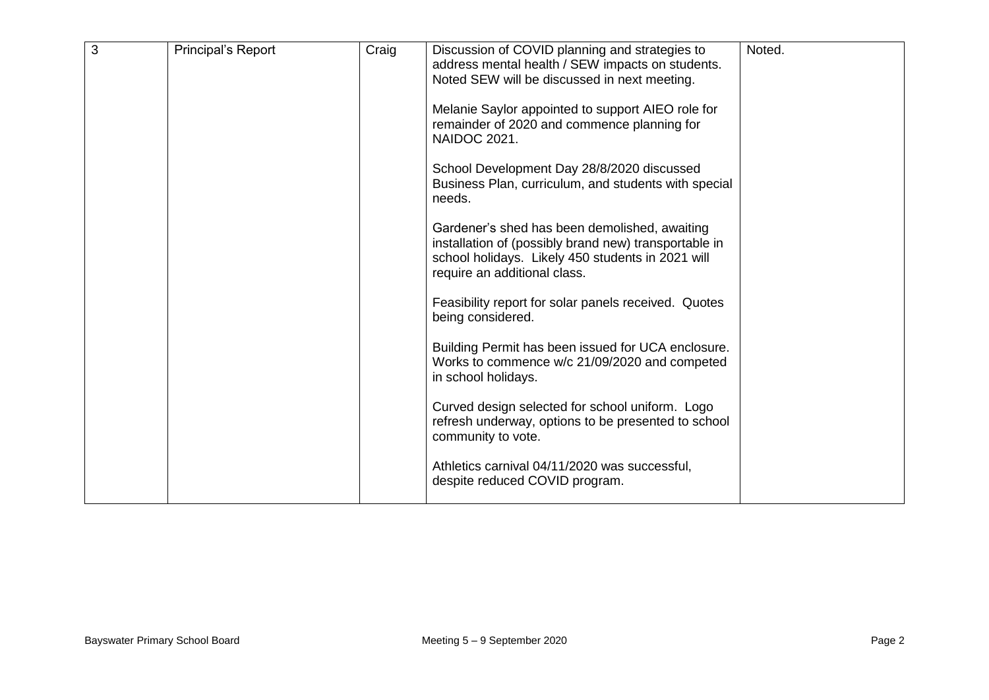| 3 | Principal's Report | Craig | Discussion of COVID planning and strategies to<br>address mental health / SEW impacts on students.<br>Noted SEW will be discussed in next meeting.<br>Melanie Saylor appointed to support AIEO role for | Noted. |
|---|--------------------|-------|---------------------------------------------------------------------------------------------------------------------------------------------------------------------------------------------------------|--------|
|   |                    |       | remainder of 2020 and commence planning for<br>NAIDOC 2021.                                                                                                                                             |        |
|   |                    |       | School Development Day 28/8/2020 discussed<br>Business Plan, curriculum, and students with special<br>needs.                                                                                            |        |
|   |                    |       | Gardener's shed has been demolished, awaiting<br>installation of (possibly brand new) transportable in<br>school holidays. Likely 450 students in 2021 will<br>require an additional class.             |        |
|   |                    |       | Feasibility report for solar panels received. Quotes<br>being considered.                                                                                                                               |        |
|   |                    |       | Building Permit has been issued for UCA enclosure.<br>Works to commence w/c 21/09/2020 and competed<br>in school holidays.                                                                              |        |
|   |                    |       | Curved design selected for school uniform. Logo<br>refresh underway, options to be presented to school<br>community to vote.                                                                            |        |
|   |                    |       | Athletics carnival 04/11/2020 was successful,<br>despite reduced COVID program.                                                                                                                         |        |